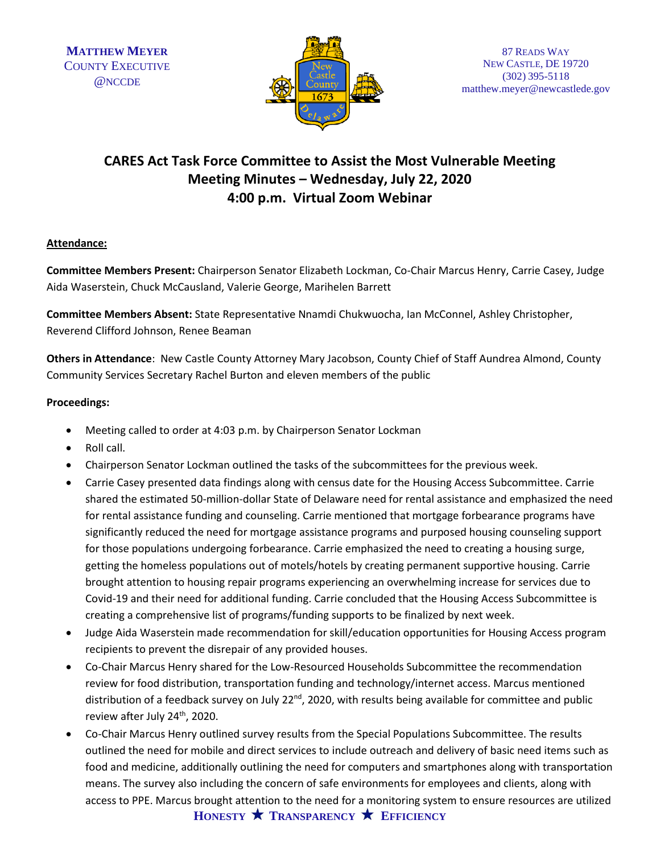

# **CARES Act Task Force Committee to Assist the Most Vulnerable Meeting Meeting Minutes – Wednesday, July 22, 2020 4:00 p.m. Virtual Zoom Webinar**

## **Attendance:**

**Committee Members Present:** Chairperson Senator Elizabeth Lockman, Co-Chair Marcus Henry, Carrie Casey, Judge Aida Waserstein, Chuck McCausland, Valerie George, Marihelen Barrett

**Committee Members Absent:** State Representative Nnamdi Chukwuocha, Ian McConnel, Ashley Christopher, Reverend Clifford Johnson, Renee Beaman

**Others in Attendance**: New Castle County Attorney Mary Jacobson, County Chief of Staff Aundrea Almond, County Community Services Secretary Rachel Burton and eleven members of the public

### **Proceedings:**

- Meeting called to order at 4:03 p.m. by Chairperson Senator Lockman
- Roll call.
- Chairperson Senator Lockman outlined the tasks of the subcommittees for the previous week.
- Carrie Casey presented data findings along with census date for the Housing Access Subcommittee. Carrie shared the estimated 50-million-dollar State of Delaware need for rental assistance and emphasized the need for rental assistance funding and counseling. Carrie mentioned that mortgage forbearance programs have significantly reduced the need for mortgage assistance programs and purposed housing counseling support for those populations undergoing forbearance. Carrie emphasized the need to creating a housing surge, getting the homeless populations out of motels/hotels by creating permanent supportive housing. Carrie brought attention to housing repair programs experiencing an overwhelming increase for services due to Covid-19 and their need for additional funding. Carrie concluded that the Housing Access Subcommittee is creating a comprehensive list of programs/funding supports to be finalized by next week.
- Judge Aida Waserstein made recommendation for skill/education opportunities for Housing Access program recipients to prevent the disrepair of any provided houses.
- Co-Chair Marcus Henry shared for the Low-Resourced Households Subcommittee the recommendation review for food distribution, transportation funding and technology/internet access. Marcus mentioned distribution of a feedback survey on July 22<sup>nd</sup>, 2020, with results being available for committee and public review after July 24<sup>th</sup>, 2020.
- Co-Chair Marcus Henry outlined survey results from the Special Populations Subcommittee. The results outlined the need for mobile and direct services to include outreach and delivery of basic need items such as food and medicine, additionally outlining the need for computers and smartphones along with transportation means. The survey also including the concern of safe environments for employees and clients, along with access to PPE. Marcus brought attention to the need for a monitoring system to ensure resources are utilized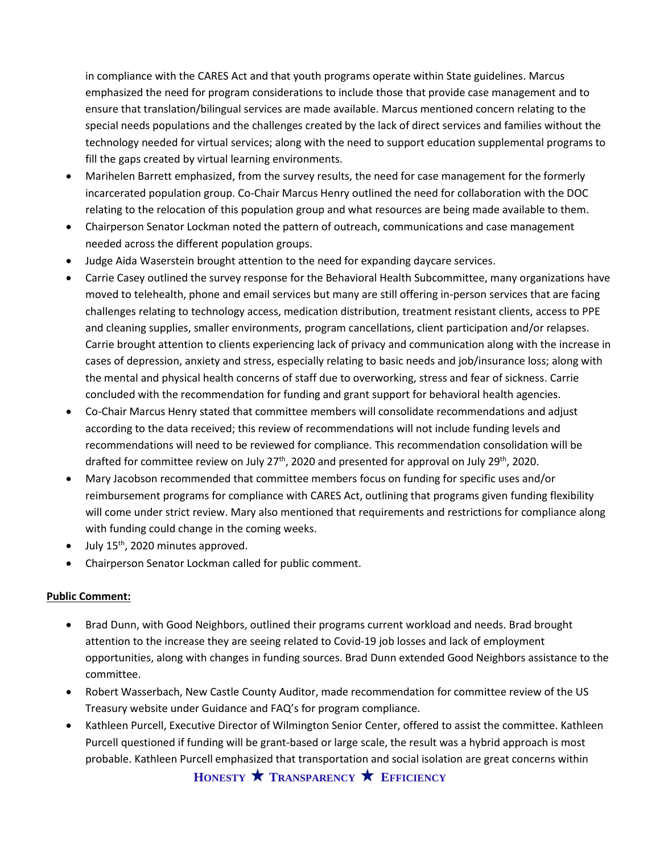in compliance with the CARES Act and that youth programs operate within State guidelines. Marcus emphasized the need for program considerations to include those that provide case management and to ensure that translation/bilingual services are made available. Marcus mentioned concern relating to the special needs populations and the challenges created by the lack of direct services and families without the technology needed for virtual services; along with the need to support education supplemental programs to fill the gaps created by virtual learning environments.

- Marihelen Barrett emphasized, from the survey results, the need for case management for the formerly incarcerated population group. Co-Chair Marcus Henry outlined the need for collaboration with the DOC relating to the relocation of this population group and what resources are being made available to them.
- Chairperson Senator Lockman noted the pattern of outreach, communications and case management needed across the different population groups.
- Judge Aida Waserstein brought attention to the need for expanding daycare services.
- Carrie Casey outlined the survey response for the Behavioral Health Subcommittee, many organizations have moved to telehealth, phone and email services but many are still offering in-person services that are facing challenges relating to technology access, medication distribution, treatment resistant clients, access to PPE and cleaning supplies, smaller environments, program cancellations, client participation and/or relapses. Carrie brought attention to clients experiencing lack of privacy and communication along with the increase in cases of depression, anxiety and stress, especially relating to basic needs and job/insurance loss; along with the mental and physical health concerns of staff due to overworking, stress and fear of sickness. Carrie concluded with the recommendation for funding and grant support for behavioral health agencies.
- Co-Chair Marcus Henry stated that committee members will consolidate recommendations and adjust according to the data received; this review of recommendations will not include funding levels and recommendations will need to be reviewed for compliance. This recommendation consolidation will be drafted for committee review on July  $27<sup>th</sup>$ , 2020 and presented for approval on July  $29<sup>th</sup>$ , 2020.
- Mary Jacobson recommended that committee members focus on funding for specific uses and/or reimbursement programs for compliance with CARES Act, outlining that programs given funding flexibility will come under strict review. Mary also mentioned that requirements and restrictions for compliance along with funding could change in the coming weeks.
- $\bullet$  July 15<sup>th</sup>, 2020 minutes approved.
- Chairperson Senator Lockman called for public comment.

### **Public Comment:**

- Brad Dunn, with Good Neighbors, outlined their programs current workload and needs. Brad brought attention to the increase they are seeing related to Covid-19 job losses and lack of employment opportunities, along with changes in funding sources. Brad Dunn extended Good Neighbors assistance to the committee.
- Robert Wasserbach, New Castle County Auditor, made recommendation for committee review of the US Treasury website under Guidance and FAQ's for program compliance.
- Kathleen Purcell, Executive Director of Wilmington Senior Center, offered to assist the committee. Kathleen Purcell questioned if funding will be grant-based or large scale, the result was a hybrid approach is most probable. Kathleen Purcell emphasized that transportation and social isolation are great concerns within

**HONESTY TRANSPARENCY EFFICIENCY**